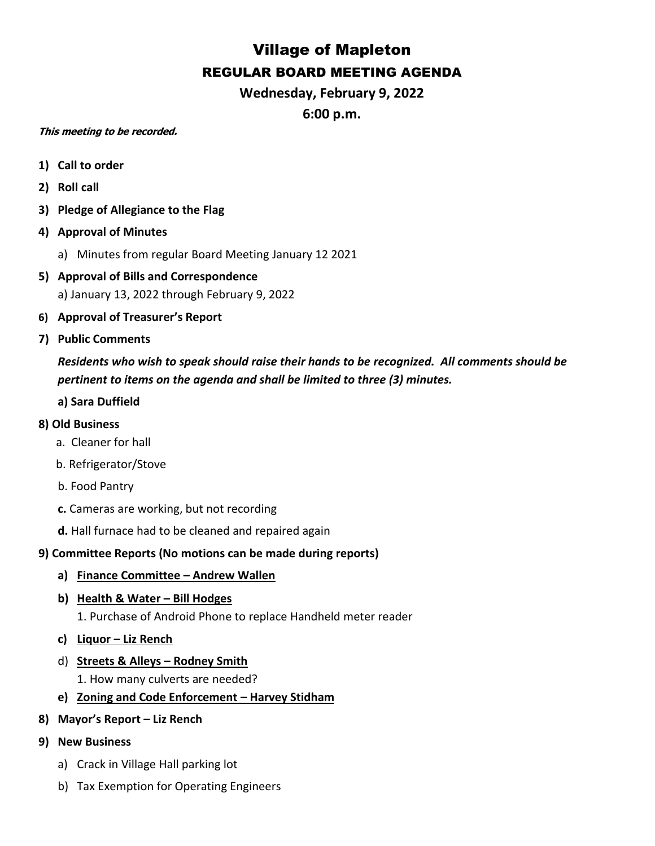## Village of Mapleton REGULAR BOARD MEETING AGENDA

**Wednesday, February 9, 2022**

**6:00 p.m.**

## **This meeting to be recorded.**

- **1) Call to order**
- **2) Roll call**
- **3) Pledge of Allegiance to the Flag**
- **4) Approval of Minutes**
	- a) Minutes from regular Board Meeting January 12 2021
- **5) Approval of Bills and Correspondence** a) January 13, 2022 through February 9, 2022
- **6) Approval of Treasurer's Report**
- **7) Public Comments**

*Residents who wish to speak should raise their hands to be recognized. All comments should be pertinent to items on the agenda and shall be limited to three (3) minutes.*

**a) Sara Duffield** 

## **8) Old Business**

- a. Cleaner for hall
- b. Refrigerator/Stove
- b. Food Pantry
- **c.** Cameras are working, but not recording
- **d.** Hall furnace had to be cleaned and repaired again

## **9) Committee Reports (No motions can be made during reports)**

- **a) Finance Committee – Andrew Wallen**
- **b) Health & Water – Bill Hodges**

1. Purchase of Android Phone to replace Handheld meter reader

- **c) Liquor – Liz Rench**
- d) **Streets & Alleys – Rodney Smith**

1. How many culverts are needed?

- **e) Zoning and Code Enforcement – Harvey Stidham**
- **8) Mayor's Report – Liz Rench**
- **9) New Business**
	- a) Crack in Village Hall parking lot
	- b) Tax Exemption for Operating Engineers